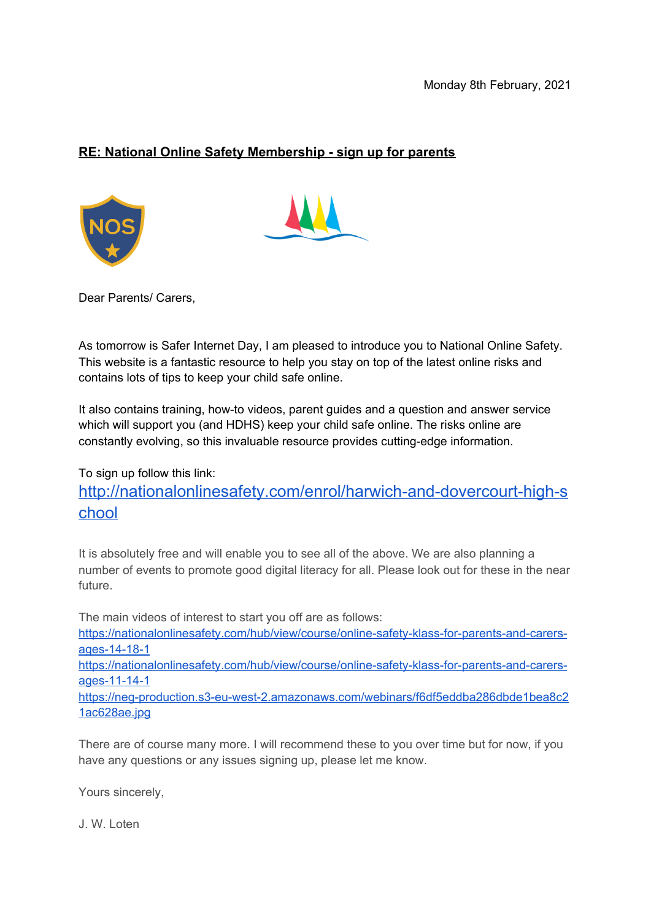## **RE: National Online Safety Membership - sign up for parents**





Dear Parents/ Carers,

As tomorrow is Safer Internet Day, I am pleased to introduce you to National Online Safety. This website is a fantastic resource to help you stay on top of the latest online risks and contains lots of tips to keep your child safe online.

It also contains training, how-to videos, parent guides and a question and answer service which will support you (and HDHS) keep your child safe online. The risks online are constantly evolving, so this invaluable resource provides cutting-edge information.

To sign up follow this link:

[http://nationalonlinesafety.com/enrol/harwich-and-dovercourt-high-s](http://nationalonlinesafety.com/enrol/harwich-and-dovercourt-high-school) [chool](http://nationalonlinesafety.com/enrol/harwich-and-dovercourt-high-school)

It is absolutely free and will enable you to see all of the above. We are also planning a number of events to promote good digital literacy for all. Please look out for these in the near future.

The main videos of interest to start you off are as follows:

[https://nationalonlinesafety.com/hub/view/course/online-safety-klass-for-parents-and-carers](https://nationalonlinesafety.com/hub/view/course/online-safety-klass-for-parents-and-carers-ages-14-18-1)[ages-14-18-1](https://nationalonlinesafety.com/hub/view/course/online-safety-klass-for-parents-and-carers-ages-14-18-1)

[https://nationalonlinesafety.com/hub/view/course/online-safety-klass-for-parents-and-carers](https://nationalonlinesafety.com/hub/view/course/online-safety-klass-for-parents-and-carers-ages-11-14-1)[ages-11-14-1](https://nationalonlinesafety.com/hub/view/course/online-safety-klass-for-parents-and-carers-ages-11-14-1)

[https://neg-production.s3-eu-west-2.amazonaws.com/webinars/f6df5eddba286dbde1bea8c2](https://neg-production.s3-eu-west-2.amazonaws.com/webinars/f6df5eddba286dbde1bea8c21ac628ae.jpg) [1ac628ae.jpg](https://neg-production.s3-eu-west-2.amazonaws.com/webinars/f6df5eddba286dbde1bea8c21ac628ae.jpg)

There are of course many more. I will recommend these to you over time but for now, if you have any questions or any issues signing up, please let me know.

Yours sincerely,

J. W. Loten